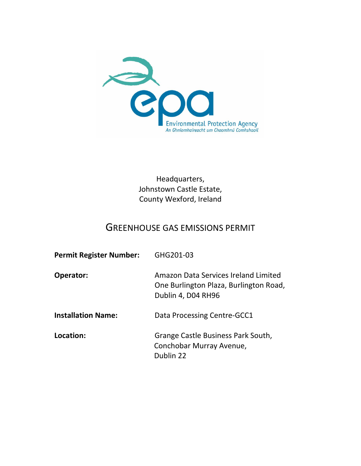

Headquarters, Johnstown Castle Estate, County Wexford, Ireland

# GREENHOUSE GAS EMISSIONS PERMIT

| <b>Permit Register Number:</b> | GHG201-03                                                                                            |
|--------------------------------|------------------------------------------------------------------------------------------------------|
| Operator:                      | Amazon Data Services Ireland Limited<br>One Burlington Plaza, Burlington Road,<br>Dublin 4, D04 RH96 |
| <b>Installation Name:</b>      | Data Processing Centre-GCC1                                                                          |
| Location:                      | Grange Castle Business Park South,<br>Conchobar Murray Avenue,<br>Dublin 22                          |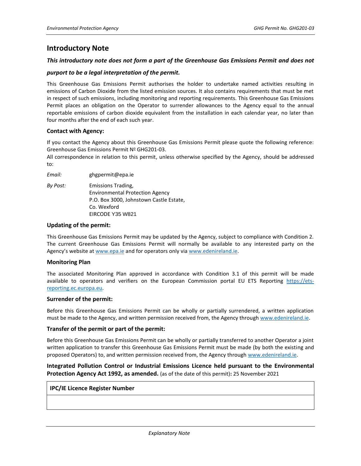# **Introductory Note**

### *This introductory note does not form a part of the Greenhouse Gas Emissions Permit and does not*

### *purport to be a legal interpretation of the permit.*

This Greenhouse Gas Emissions Permit authorises the holder to undertake named activities resulting in emissions of Carbon Dioxide from the listed emission sources. It also contains requirements that must be met in respect of such emissions, including monitoring and reporting requirements. This Greenhouse Gas Emissions Permit places an obligation on the Operator to surrender allowances to the Agency equal to the annual reportable emissions of carbon dioxide equivalent from the installation in each calendar year, no later than four months after the end of each such year.

### **Contact with Agency:**

If you contact the Agency about this Greenhouse Gas Emissions Permit please quote the following reference: Greenhouse Gas Emissions Permit Nº GHG201-03.

All correspondence in relation to this permit, unless otherwise specified by the Agency, should be addressed to:

*Email:* ghgpermit@epa.ie

*By Post:* Emissions Trading, Environmental Protection Agency P.O. Box 3000, Johnstown Castle Estate, Co. Wexford EIRCODE Y35 W821

### **Updating of the permit:**

This Greenhouse Gas Emissions Permit may be updated by the Agency, subject to compliance with Condition 2. The current Greenhouse Gas Emissions Permit will normally be available to any interested party on the Agency's website at [www.epa.ie](http://www.epa.ie/) and for operators only vi[a www.edenireland.ie.](http://www.edenireland.ie/)

#### **Monitoring Plan**

The associated Monitoring Plan approved in accordance with Condition 3.1 of this permit will be made available to operators and verifiers on the European Commission portal EU ETS Reporting [https://ets](https://ets-reporting.ec.europa.eu/)[reporting.ec.europa.eu.](https://ets-reporting.ec.europa.eu/)

#### **Surrender of the permit:**

Before this Greenhouse Gas Emissions Permit can be wholly or partially surrendered, a written application must be made to the Agency, and written permission received from, the Agency throug[h www.edenireland.ie.](http://www.edenireland.ie/)

#### **Transfer of the permit or part of the permit:**

Before this Greenhouse Gas Emissions Permit can be wholly or partially transferred to another Operator a joint written application to transfer this Greenhouse Gas Emissions Permit must be made (by both the existing and proposed Operators) to, and written permission received from, the Agency throug[h www.edenireland.ie.](http://www.edenireland.ie/)

## **Integrated Pollution Control or Industrial Emissions Licence held pursuant to the Environmental Protection Agency Act 1992, as amended.** (as of the date of this permit)**:** 25 November 2021

#### **IPC/IE Licence Register Number**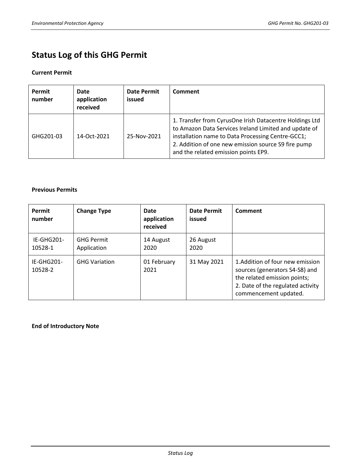# **Status Log of this GHG Permit**

## **Current Permit**

| Permit<br>number | Date<br>application<br>received | Date Permit<br>issued | Comment                                                                                                                                                                                                                                                              |
|------------------|---------------------------------|-----------------------|----------------------------------------------------------------------------------------------------------------------------------------------------------------------------------------------------------------------------------------------------------------------|
| GHG201-03        | 14-Oct-2021                     | 25-Nov-2021           | 1. Transfer from CyrusOne Irish Datacentre Holdings Ltd<br>to Amazon Data Services Ireland Limited and update of<br>installation name to Data Processing Centre-GCC1;<br>2. Addition of one new emission source S9 fire pump<br>and the related emission points EP9. |

## **Previous Permits**

| Permit<br>number      | <b>Change Type</b>               | Date<br>application<br>received | Date Permit<br>issued | Comment                                                                                                                                                         |
|-----------------------|----------------------------------|---------------------------------|-----------------------|-----------------------------------------------------------------------------------------------------------------------------------------------------------------|
| IE-GHG201-<br>10528-1 | <b>GHG Permit</b><br>Application | 14 August<br>2020               | 26 August<br>2020     |                                                                                                                                                                 |
| IE-GHG201-<br>10528-2 | <b>GHG Variation</b>             | 01 February<br>2021             | 31 May 2021           | 1.Addition of four new emission<br>sources (generators S4-S8) and<br>the related emission points;<br>2. Date of the regulated activity<br>commencement updated. |

**End of Introductory Note**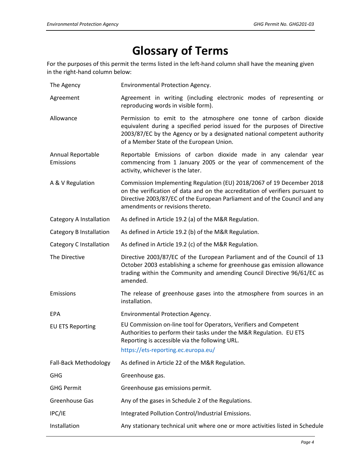# **Glossary of Terms**

For the purposes of this permit the terms listed in the left-hand column shall have the meaning given in the right-hand column below:

- The Agency Environmental Protection Agency.
- Agreement Agreement in writing (including electronic modes of representing or reproducing words in visible form).
- Allowance Permission to emit to the atmosphere one tonne of carbon dioxide equivalent during a specified period issued for the purposes of Directive 2003/87/EC by the Agency or by a designated national competent authority of a Member State of the European Union.
- Annual Reportable Emissions Reportable Emissions of carbon dioxide made in any calendar year commencing from 1 January 2005 or the year of commencement of the activity, whichever is the later.
- A & V Regulation Commission Implementing Regulation (EU) 2018/2067 of 19 December 2018 on the verification of data and on the accreditation of verifiers pursuant to Directive 2003/87/EC of the European Parliament and of the Council and any amendments or revisions thereto.

Category A Installation As defined in Article 19.2 (a) of the M&R Regulation.

Category B Installation As defined in Article 19.2 (b) of the M&R Regulation.

Category C Installation As defined in Article 19.2 (c) of the M&R Regulation.

The Directive Directive 2003/87/EC of the European Parliament and of the Council of 13 October 2003 establishing a scheme for greenhouse gas emission allowance trading within the Community and amending Council Directive 96/61/EC as amended.

Emissions The release of greenhouse gases into the atmosphere from sources in an

EPA Environmental Protection Agency.

installation.

EU ETS Reporting EU Commission on-line tool for Operators, Verifiers and Competent Authorities to perform their tasks under the M&R Regulation. EU ETS Reporting is accessible via the following URL.

## https://ets-reporting.ec.europa.eu/

Fall-Back Methodology As defined in Article 22 of the M&R Regulation. GHG Greenhouse gas. GHG Permit Greenhouse gas emissions permit. Greenhouse Gas Any of the gases in Schedule 2 of the Regulations. IPC/IE Integrated Pollution Control/Industrial Emissions. Installation Any stationary technical unit where one or more activities listed in Schedule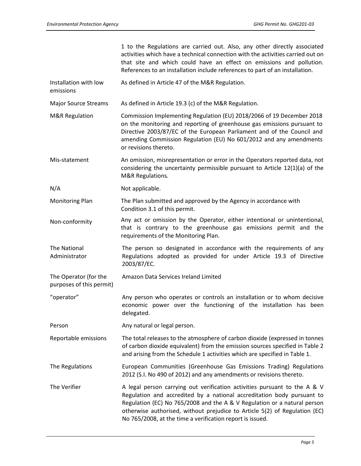1 to the Regulations are carried out. Also, any other directly associated activities which have a technical connection with the activities carried out on that site and which could have an effect on emissions and pollution. References to an installation include references to part of an installation.

Installation with low As defined in Article 47 of the M&R Regulation.

emissions

Major Source Streams As defined in Article 19.3 (c) of the M&R Regulation.

- M&R Regulation Commission Implementing Regulation (EU) 2018/2066 of 19 December 2018 on the monitoring and reporting of greenhouse gas emissions pursuant to Directive 2003/87/EC of the European Parliament and of the Council and amending Commission Regulation (EU) No 601/2012 and any amendments or revisions thereto.
- Mis-statement An omission, misrepresentation or error in the Operators reported data, not considering the uncertainty permissible pursuant to Article 12(1)(a) of the M&R Regulations.
- N/A Not applicable.

Monitoring Plan The Plan submitted and approved by the Agency in accordance with Condition 3.1 of this permit.

Non-conformity Any act or omission by the Operator, either intentional or unintentional, that is contrary to the greenhouse gas emissions permit and the requirements of the Monitoring Plan.

The National Administrator The person so designated in accordance with the requirements of any Regulations adopted as provided for under Article 19.3 of Directive 2003/87/EC.

The Operator (for the Amazon Data Services Ireland Limited

delegated.

purposes of this permit) "operator" Any person who operates or controls an installation or to whom decisive

Person Any natural or legal person.

Reportable emissions The total releases to the atmosphere of carbon dioxide (expressed in tonnes of carbon dioxide equivalent) from the emission sources specified in Table 2 and arising from the Schedule 1 activities which are specified in Table 1.

economic power over the functioning of the installation has been

- The Regulations European Communities (Greenhouse Gas Emissions Trading) Regulations 2012 (S.I. No 490 of 2012) and any amendments or revisions thereto.
- The Verifier **A** legal person carrying out verification activities pursuant to the A & V Regulation and accredited by a national accreditation body pursuant to Regulation (EC) No 765/2008 and the A & V Regulation or a natural person otherwise authorised, without prejudice to Article 5(2) of Regulation (EC) No 765/2008, at the time a verification report is issued.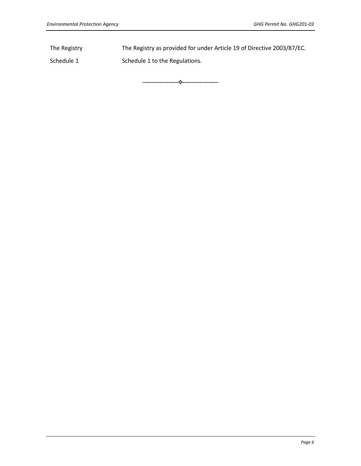The Registry The Registry as provided for under Article 19 of Directive 2003/87/EC.

⎯⎯⎯⎯⎯⎯❖⎯⎯⎯⎯⎯⎯

Schedule 1 Schedule 1 to the Regulations.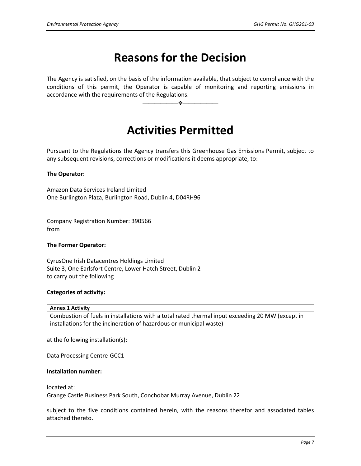# **Reasons for the Decision**

The Agency is satisfied, on the basis of the information available, that subject to compliance with the conditions of this permit, the Operator is capable of monitoring and reporting emissions in accordance with the requirements of the Regulations.

⎯⎯⎯⎯⎯⎯❖⎯⎯⎯⎯⎯⎯

# **Activities Permitted**

Pursuant to the Regulations the Agency transfers this Greenhouse Gas Emissions Permit, subject to any subsequent revisions, corrections or modifications it deems appropriate, to:

## **The Operator:**

Amazon Data Services Ireland Limited One Burlington Plaza, Burlington Road, Dublin 4, D04RH96

Company Registration Number: 390566 from

## **The Former Operator:**

CyrusOne Irish Datacentres Holdings Limited Suite 3, One Earlsfort Centre, Lower Hatch Street, Dublin 2 to carry out the following

## **Categories of activity:**

**Annex 1 Activity**

Combustion of fuels in installations with a total rated thermal input exceeding 20 MW (except in installations for the incineration of hazardous or municipal waste)

at the following installation(s):

Data Processing Centre-GCC1

#### **Installation number:**

located at: Grange Castle Business Park South, Conchobar Murray Avenue, Dublin 22

subject to the five conditions contained herein, with the reasons therefor and associated tables attached thereto.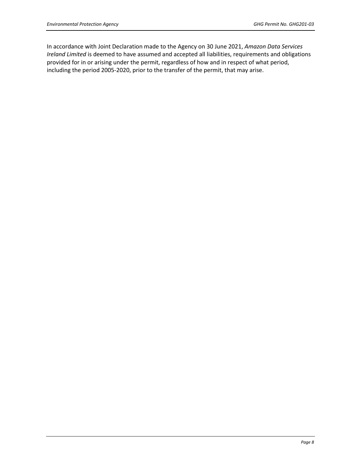In accordance with Joint Declaration made to the Agency on 30 June 2021, *Amazon Data Services Ireland Limited* is deemed to have assumed and accepted all liabilities, requirements and obligations provided for in or arising under the permit, regardless of how and in respect of what period, including the period 2005-2020, prior to the transfer of the permit, that may arise.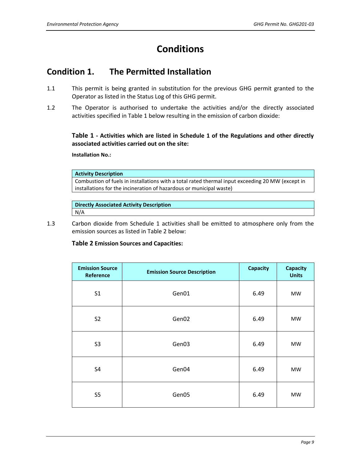# **Conditions**

# **Condition 1. The Permitted Installation**

- 1.1 This permit is being granted in substitution for the previous GHG permit granted to the Operator as listed in the Status Log of this GHG permit.
- 1.2 The Operator is authorised to undertake the activities and/or the directly associated activities specified in Table 1 below resulting in the emission of carbon dioxide:

**Table 1 - Activities which are listed in Schedule 1 of the Regulations and other directly associated activities carried out on the site:**

**Installation No.:** 

**Activity Description**

Combustion of fuels in installations with a total rated thermal input exceeding 20 MW (except in installations for the incineration of hazardous or municipal waste)

**Directly Associated Activity Description**

N/A

1.3 Carbon dioxide from Schedule 1 activities shall be emitted to atmosphere only from the emission sources as listed in Table 2 below:

**Table 2 Emission Sources and Capacities:**

| <b>Emission Source</b><br>Reference | <b>Emission Source Description</b> | <b>Capacity</b> | <b>Capacity</b><br><b>Units</b> |
|-------------------------------------|------------------------------------|-----------------|---------------------------------|
| S <sub>1</sub>                      | Gen01                              | 6.49            | <b>MW</b>                       |
| S <sub>2</sub>                      | Gen02                              | 6.49            | MW                              |
| S <sub>3</sub>                      | Gen03                              | 6.49            | <b>MW</b>                       |
| <b>S4</b>                           | Gen04                              | 6.49            | MW                              |
| S <sub>5</sub>                      | Gen05                              | 6.49            | <b>MW</b>                       |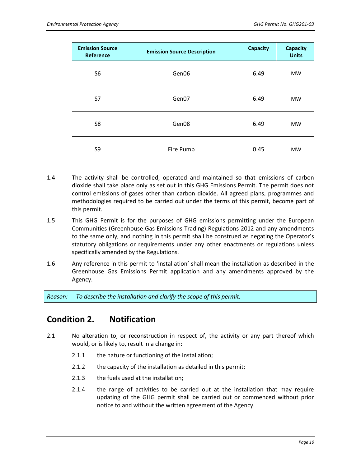| <b>Emission Source</b><br>Reference | <b>Emission Source Description</b> | <b>Capacity</b> | Capacity<br><b>Units</b> |
|-------------------------------------|------------------------------------|-----------------|--------------------------|
| S <sub>6</sub>                      | Gen06                              | 6.49            | <b>MW</b>                |
| S7                                  | Gen07                              | 6.49            | <b>MW</b>                |
| S <sub>8</sub>                      | Gen <sub>08</sub>                  | 6.49            | <b>MW</b>                |
| S9                                  | Fire Pump                          | 0.45            | <b>MW</b>                |

- 1.4 The activity shall be controlled, operated and maintained so that emissions of carbon dioxide shall take place only as set out in this GHG Emissions Permit. The permit does not control emissions of gases other than carbon dioxide. All agreed plans, programmes and methodologies required to be carried out under the terms of this permit, become part of this permit.
- 1.5 This GHG Permit is for the purposes of GHG emissions permitting under the European Communities (Greenhouse Gas Emissions Trading) Regulations 2012 and any amendments to the same only, and nothing in this permit shall be construed as negating the Operator's statutory obligations or requirements under any other enactments or regulations unless specifically amended by the Regulations.
- 1.6 Any reference in this permit to 'installation' shall mean the installation as described in the Greenhouse Gas Emissions Permit application and any amendments approved by the Agency.

*Reason: To describe the installation and clarify the scope of this permit.*

# **Condition 2. Notification**

- 2.1 No alteration to, or reconstruction in respect of, the activity or any part thereof which would, or is likely to, result in a change in:
	- 2.1.1 the nature or functioning of the installation;
	- 2.1.2 the capacity of the installation as detailed in this permit;
	- 2.1.3 the fuels used at the installation;
	- 2.1.4 the range of activities to be carried out at the installation that may require updating of the GHG permit shall be carried out or commenced without prior notice to and without the written agreement of the Agency.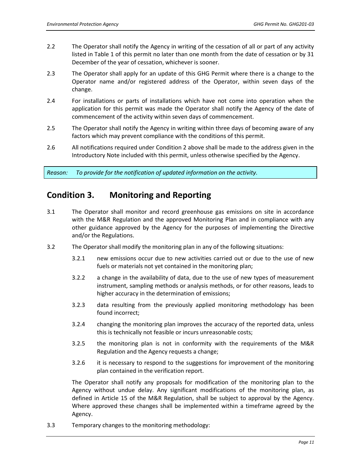- 2.2 The Operator shall notify the Agency in writing of the cessation of all or part of any activity listed in Table 1 of this permit no later than one month from the date of cessation or by 31 December of the year of cessation, whichever is sooner.
- 2.3 The Operator shall apply for an update of this GHG Permit where there is a change to the Operator name and/or registered address of the Operator, within seven days of the change.
- 2.4 For installations or parts of installations which have not come into operation when the application for this permit was made the Operator shall notify the Agency of the date of commencement of the activity within seven days of commencement.
- 2.5 The Operator shall notify the Agency in writing within three days of becoming aware of any factors which may prevent compliance with the conditions of this permit.
- 2.6 All notifications required under Condition 2 above shall be made to the address given in the Introductory Note included with this permit, unless otherwise specified by the Agency.

*Reason: To provide for the notification of updated information on the activity.*

# **Condition 3. Monitoring and Reporting**

- 3.1 The Operator shall monitor and record greenhouse gas emissions on site in accordance with the M&R Regulation and the approved Monitoring Plan and in compliance with any other guidance approved by the Agency for the purposes of implementing the Directive and/or the Regulations.
- 3.2 The Operator shall modify the monitoring plan in any of the following situations:
	- 3.2.1 new emissions occur due to new activities carried out or due to the use of new fuels or materials not yet contained in the monitoring plan;
	- 3.2.2 a change in the availability of data, due to the use of new types of measurement instrument, sampling methods or analysis methods, or for other reasons, leads to higher accuracy in the determination of emissions;
	- 3.2.3 data resulting from the previously applied monitoring methodology has been found incorrect;
	- 3.2.4 changing the monitoring plan improves the accuracy of the reported data, unless this is technically not feasible or incurs unreasonable costs;
	- 3.2.5 the monitoring plan is not in conformity with the requirements of the M&R Regulation and the Agency requests a change;
	- 3.2.6 it is necessary to respond to the suggestions for improvement of the monitoring plan contained in the verification report.

The Operator shall notify any proposals for modification of the monitoring plan to the Agency without undue delay. Any significant modifications of the monitoring plan, as defined in Article 15 of the M&R Regulation, shall be subject to approval by the Agency. Where approved these changes shall be implemented within a timeframe agreed by the Agency.

3.3 Temporary changes to the monitoring methodology: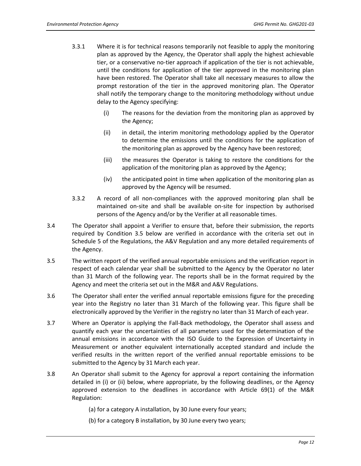- 3.3.1 Where it is for technical reasons temporarily not feasible to apply the monitoring plan as approved by the Agency, the Operator shall apply the highest achievable tier, or a conservative no-tier approach if application of the tier is not achievable, until the conditions for application of the tier approved in the monitoring plan have been restored. The Operator shall take all necessary measures to allow the prompt restoration of the tier in the approved monitoring plan. The Operator shall notify the temporary change to the monitoring methodology without undue delay to the Agency specifying:
	- (i) The reasons for the deviation from the monitoring plan as approved by the Agency;
	- (ii) in detail, the interim monitoring methodology applied by the Operator to determine the emissions until the conditions for the application of the monitoring plan as approved by the Agency have been restored;
	- (iii) the measures the Operator is taking to restore the conditions for the application of the monitoring plan as approved by the Agency;
	- (iv) the anticipated point in time when application of the monitoring plan as approved by the Agency will be resumed.
- 3.3.2 A record of all non-compliances with the approved monitoring plan shall be maintained on-site and shall be available on-site for inspection by authorised persons of the Agency and/or by the Verifier at all reasonable times.
- 3.4 The Operator shall appoint a Verifier to ensure that, before their submission, the reports required by Condition 3.5 below are verified in accordance with the criteria set out in Schedule 5 of the Regulations, the A&V Regulation and any more detailed requirements of the Agency.
- 3.5 The written report of the verified annual reportable emissions and the verification report in respect of each calendar year shall be submitted to the Agency by the Operator no later than 31 March of the following year. The reports shall be in the format required by the Agency and meet the criteria set out in the M&R and A&V Regulations.
- 3.6 The Operator shall enter the verified annual reportable emissions figure for the preceding year into the Registry no later than 31 March of the following year. This figure shall be electronically approved by the Verifier in the registry no later than 31 March of each year.
- 3.7 Where an Operator is applying the Fall-Back methodology, the Operator shall assess and quantify each year the uncertainties of all parameters used for the determination of the annual emissions in accordance with the ISO Guide to the Expression of Uncertainty in Measurement or another equivalent internationally accepted standard and include the verified results in the written report of the verified annual reportable emissions to be submitted to the Agency by 31 March each year.
- 3.8 An Operator shall submit to the Agency for approval a report containing the information detailed in (i) or (ii) below, where appropriate, by the following deadlines, or the Agency approved extension to the deadlines in accordance with Article 69(1) of the M&R Regulation:
	- (a) for a category A installation, by 30 June every four years;
	- (b) for a category B installation, by 30 June every two years;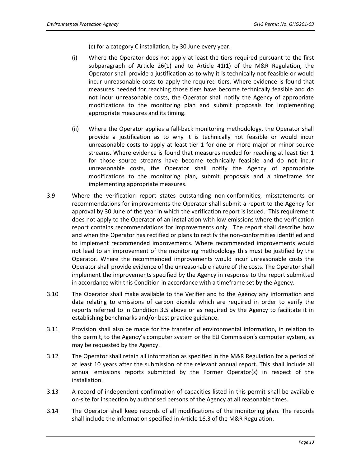(c) for a category C installation, by 30 June every year.

- (i) Where the Operator does not apply at least the tiers required pursuant to the first subparagraph of Article 26(1) and to Article 41(1) of the M&R Regulation, the Operator shall provide a justification as to why it is technically not feasible or would incur unreasonable costs to apply the required tiers. Where evidence is found that measures needed for reaching those tiers have become technically feasible and do not incur unreasonable costs, the Operator shall notify the Agency of appropriate modifications to the monitoring plan and submit proposals for implementing appropriate measures and its timing.
- (ii) Where the Operator applies a fall-back monitoring methodology, the Operator shall provide a justification as to why it is technically not feasible or would incur unreasonable costs to apply at least tier 1 for one or more major or minor source streams. Where evidence is found that measures needed for reaching at least tier 1 for those source streams have become technically feasible and do not incur unreasonable costs, the Operator shall notify the Agency of appropriate modifications to the monitoring plan, submit proposals and a timeframe for implementing appropriate measures.
- 3.9 Where the verification report states outstanding non-conformities, misstatements or recommendations for improvements the Operator shall submit a report to the Agency for approval by 30 June of the year in which the verification report is issued. This requirement does not apply to the Operator of an installation with low emissions where the verification report contains recommendations for improvements only. The report shall describe how and when the Operator has rectified or plans to rectify the non-conformities identified and to implement recommended improvements. Where recommended improvements would not lead to an improvement of the monitoring methodology this must be justified by the Operator. Where the recommended improvements would incur unreasonable costs the Operator shall provide evidence of the unreasonable nature of the costs. The Operator shall implement the improvements specified by the Agency in response to the report submitted in accordance with this Condition in accordance with a timeframe set by the Agency.
- 3.10 The Operator shall make available to the Verifier and to the Agency any information and data relating to emissions of carbon dioxide which are required in order to verify the reports referred to in Condition 3.5 above or as required by the Agency to facilitate it in establishing benchmarks and/or best practice guidance.
- 3.11 Provision shall also be made for the transfer of environmental information, in relation to this permit, to the Agency's computer system or the EU Commission's computer system, as may be requested by the Agency.
- 3.12 The Operator shall retain all information as specified in the M&R Regulation for a period of at least 10 years after the submission of the relevant annual report. This shall include all annual emissions reports submitted by the Former Operator(s) in respect of the installation.
- 3.13 A record of independent confirmation of capacities listed in this permit shall be available on-site for inspection by authorised persons of the Agency at all reasonable times.
- 3.14 The Operator shall keep records of all modifications of the monitoring plan. The records shall include the information specified in Article 16.3 of the M&R Regulation.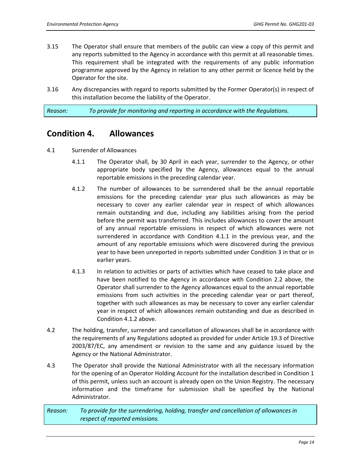- 3.15 The Operator shall ensure that members of the public can view a copy of this permit and any reports submitted to the Agency in accordance with this permit at all reasonable times. This requirement shall be integrated with the requirements of any public information programme approved by the Agency in relation to any other permit or licence held by the Operator for the site.
- 3.16 Any discrepancies with regard to reports submitted by the Former Operator(s) in respect of this installation become the liability of the Operator.

*Reason: To provide for monitoring and reporting in accordance with the Regulations.* 

# **Condition 4. Allowances**

- 4.1 Surrender of Allowances
	- 4.1.1 The Operator shall, by 30 April in each year, surrender to the Agency, or other appropriate body specified by the Agency, allowances equal to the annual reportable emissions in the preceding calendar year.
	- 4.1.2 The number of allowances to be surrendered shall be the annual reportable emissions for the preceding calendar year plus such allowances as may be necessary to cover any earlier calendar year in respect of which allowances remain outstanding and due, including any liabilities arising from the period before the permit was transferred. This includes allowances to cover the amount of any annual reportable emissions in respect of which allowances were not surrendered in accordance with Condition 4.1.1 in the previous year, and the amount of any reportable emissions which were discovered during the previous year to have been unreported in reports submitted under Condition 3 in that or in earlier years.
	- 4.1.3 In relation to activities or parts of activities which have ceased to take place and have been notified to the Agency in accordance with Condition 2.2 above, the Operator shall surrender to the Agency allowances equal to the annual reportable emissions from such activities in the preceding calendar year or part thereof, together with such allowances as may be necessary to cover any earlier calendar year in respect of which allowances remain outstanding and due as described in Condition 4.1.2 above.
- 4.2 The holding, transfer, surrender and cancellation of allowances shall be in accordance with the requirements of any Regulations adopted as provided for under Article 19.3 of Directive 2003/87/EC, any amendment or revision to the same and any guidance issued by the Agency or the National Administrator.
- 4.3 The Operator shall provide the National Administrator with all the necessary information for the opening of an Operator Holding Account for the installation described in Condition 1 of this permit, unless such an account is already open on the Union Registry. The necessary information and the timeframe for submission shall be specified by the National Administrator.

*Reason: To provide for the surrendering, holding, transfer and cancellation of allowances in respect of reported emissions.*